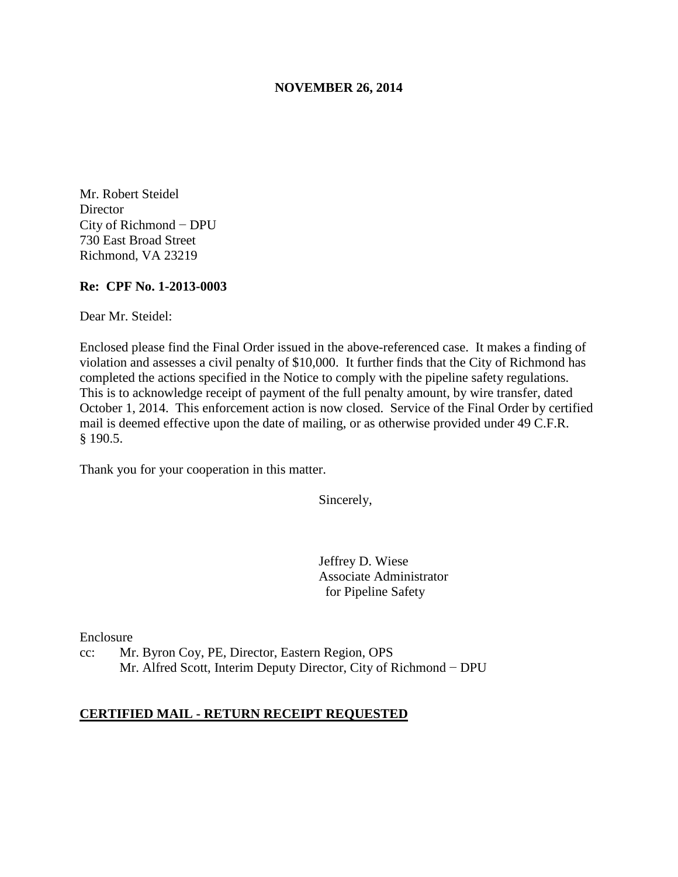#### **NOVEMBER 26, 2014**

Mr. Robert Steidel **Director** City of Richmond − DPU 730 East Broad Street Richmond, VA 23219

#### **Re: CPF No. 1-2013-0003**

Dear Mr. Steidel:

Enclosed please find the Final Order issued in the above-referenced case. It makes a finding of violation and assesses a civil penalty of \$10,000. It further finds that the City of Richmond has completed the actions specified in the Notice to comply with the pipeline safety regulations. This is to acknowledge receipt of payment of the full penalty amount, by wire transfer, dated October 1, 2014. This enforcement action is now closed. Service of the Final Order by certified mail is deemed effective upon the date of mailing, or as otherwise provided under 49 C.F.R. § 190.5.

Thank you for your cooperation in this matter.

Sincerely,

Jeffrey D. Wiese Associate Administrator for Pipeline Safety

Enclosure

cc: Mr. Byron Coy, PE, Director, Eastern Region, OPS Mr. Alfred Scott, Interim Deputy Director, City of Richmond − DPU

#### **CERTIFIED MAIL - RETURN RECEIPT REQUESTED**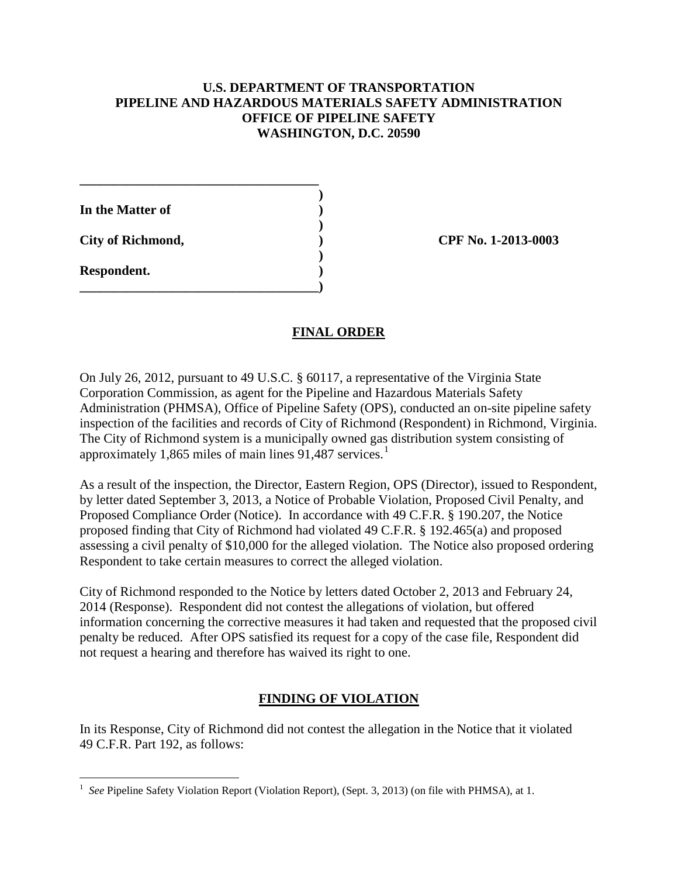## **U.S. DEPARTMENT OF TRANSPORTATION PIPELINE AND HAZARDOUS MATERIALS SAFETY ADMINISTRATION OFFICE OF PIPELINE SAFETY WASHINGTON, D.C. 20590**

| In the Matter of         |  |
|--------------------------|--|
| <b>City of Richmond,</b> |  |
| Respondent.              |  |

**\_\_\_\_\_\_\_\_\_\_\_\_\_\_\_\_\_\_\_\_\_\_\_\_\_\_\_\_\_\_\_\_\_\_\_\_)** 

**City of Richmond, ) CPF No. 1-2013-0003**

## **FINAL ORDER**

On July 26, 2012, pursuant to 49 U.S.C. § 60117, a representative of the Virginia State Corporation Commission, as agent for the Pipeline and Hazardous Materials Safety Administration (PHMSA), Office of Pipeline Safety (OPS), conducted an on-site pipeline safety inspection of the facilities and records of City of Richmond (Respondent) in Richmond, Virginia. The City of Richmond system is a municipally owned gas distribution system consisting of approximately 1,865 miles of main lines  $91,487$  services.<sup>1</sup>

As a result of the inspection, the Director, Eastern Region, OPS (Director), issued to Respondent, by letter dated September 3, 2013, a Notice of Probable Violation, Proposed Civil Penalty, and Proposed Compliance Order (Notice). In accordance with 49 C.F.R. § 190.207, the Notice proposed finding that City of Richmond had violated 49 C.F.R. § 192.465(a) and proposed assessing a civil penalty of \$10,000 for the alleged violation. The Notice also proposed ordering Respondent to take certain measures to correct the alleged violation.

City of Richmond responded to the Notice by letters dated October 2, 2013 and February 24, 2014 (Response). Respondent did not contest the allegations of violation, but offered information concerning the corrective measures it had taken and requested that the proposed civil penalty be reduced. After OPS satisfied its request for a copy of the case file, Respondent did not request a hearing and therefore has waived its right to one.

## **FINDING OF VIOLATION**

In its Response, City of Richmond did not contest the allegation in the Notice that it violated 49 C.F.R. Part 192, as follows:

 $\overline{a}$ <sup>1</sup> See Pipeline Safety Violation Report (Violation Report), (Sept. 3, 2013) (on file with PHMSA), at 1.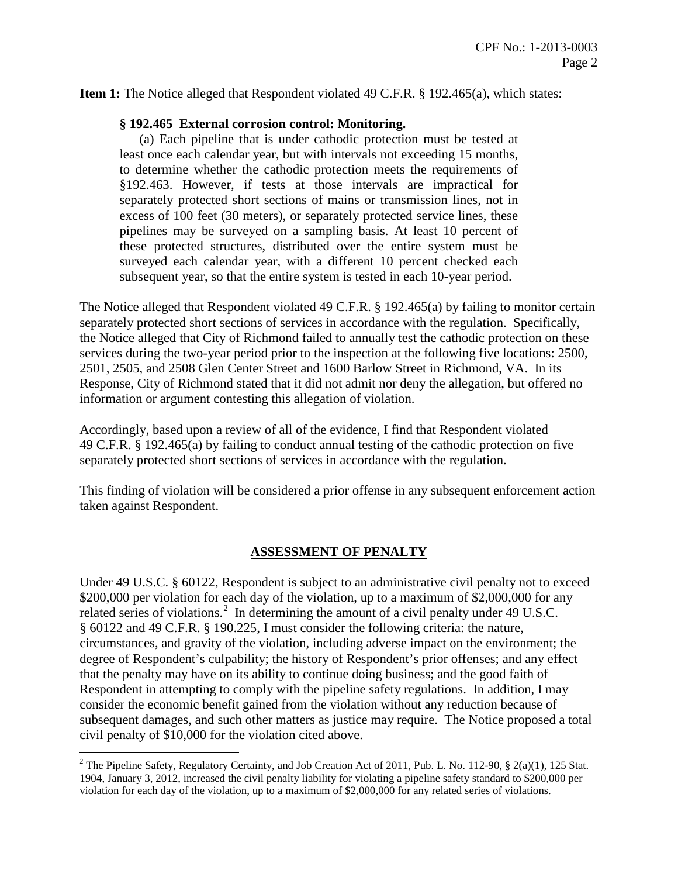**Item 1:** The Notice alleged that Respondent violated 49 C.F.R. § 192.465(a), which states:

### **§ 192.465 External corrosion control: Monitoring.**

(a) Each pipeline that is under cathodic protection must be tested at least once each calendar year, but with intervals not exceeding 15 months, to determine whether the cathodic protection meets the requirements of §192.463. However, if tests at those intervals are impractical for separately protected short sections of mains or transmission lines, not in excess of 100 feet (30 meters), or separately protected service lines, these pipelines may be surveyed on a sampling basis. At least 10 percent of these protected structures, distributed over the entire system must be surveyed each calendar year, with a different 10 percent checked each subsequent year, so that the entire system is tested in each 10-year period.

The Notice alleged that Respondent violated 49 C.F.R. § 192.465(a) by failing to monitor certain separately protected short sections of services in accordance with the regulation. Specifically, the Notice alleged that City of Richmond failed to annually test the cathodic protection on these services during the two-year period prior to the inspection at the following five locations: 2500, 2501, 2505, and 2508 Glen Center Street and 1600 Barlow Street in Richmond, VA. In its Response, City of Richmond stated that it did not admit nor deny the allegation, but offered no information or argument contesting this allegation of violation.

Accordingly, based upon a review of all of the evidence, I find that Respondent violated 49 C.F.R. § 192.465(a) by failing to conduct annual testing of the cathodic protection on five separately protected short sections of services in accordance with the regulation.

This finding of violation will be considered a prior offense in any subsequent enforcement action taken against Respondent.

### **ASSESSMENT OF PENALTY**

Under 49 U.S.C. § 60122, Respondent is subject to an administrative civil penalty not to exceed \$200,000 per violation for each day of the violation, up to a maximum of \$2,000,000 for any related series of violations.<sup>2</sup> In determining the amount of a civil penalty under 49 U.S.C. § 60122 and 49 C.F.R. § 190.225, I must consider the following criteria: the nature, circumstances, and gravity of the violation, including adverse impact on the environment; the degree of Respondent's culpability; the history of Respondent's prior offenses; and any effect that the penalty may have on its ability to continue doing business; and the good faith of Respondent in attempting to comply with the pipeline safety regulations. In addition, I may consider the economic benefit gained from the violation without any reduction because of subsequent damages, and such other matters as justice may require. The Notice proposed a total civil penalty of \$10,000 for the violation cited above.

 $\overline{a}$ <sup>2</sup> The Pipeline Safety, Regulatory Certainty, and Job Creation Act of 2011, Pub. L. No. 112-90, § 2(a)(1), 125 Stat. 1904, January 3, 2012, increased the civil penalty liability for violating a pipeline safety standard to \$200,000 per violation for each day of the violation, up to a maximum of \$2,000,000 for any related series of violations.